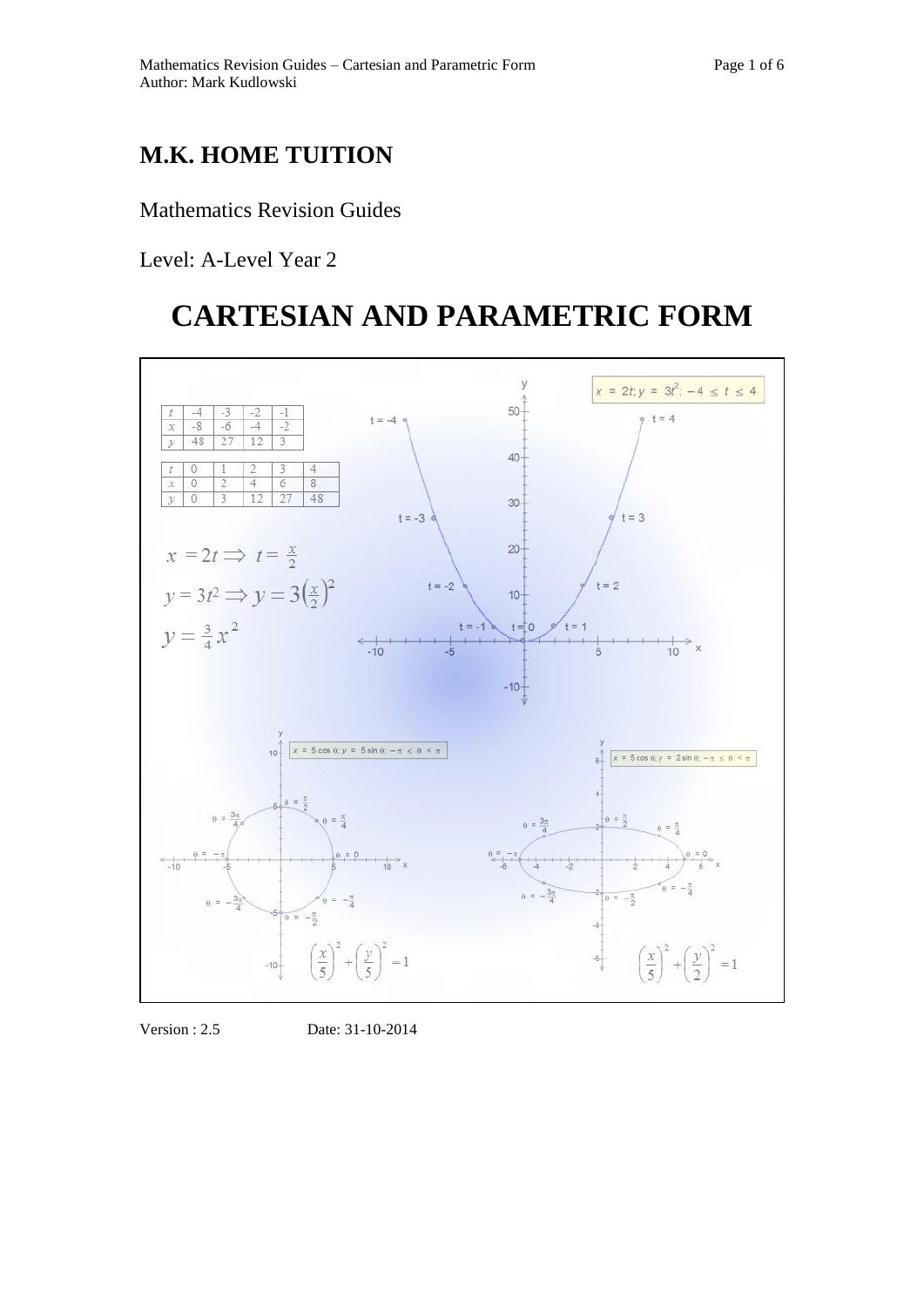## **M.K. HOME TUITION**

### Mathematics Revision Guides

Level: A-Level Year 2

# **CARTESIAN AND PARAMETRIC FORM**



Version : 2.5 Date: 31-10-2014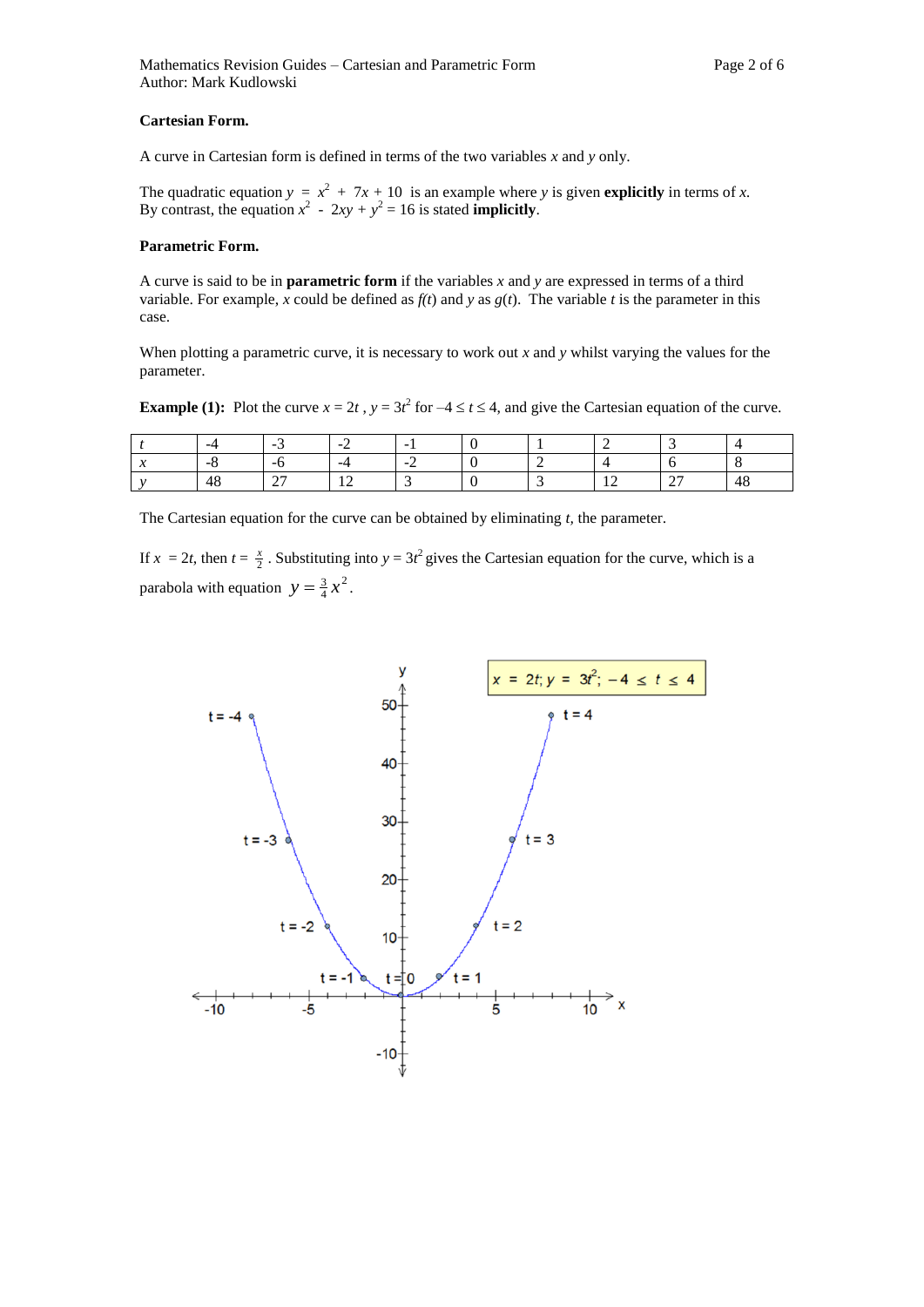#### **Cartesian Form.**

A curve in Cartesian form is defined in terms of the two variables *x* and *y* only.

The quadratic equation  $y = x^2 + 7x + 10$  is an example where *y* is given **explicitly** in terms of *x*. By contrast, the equation  $x^2 - 2xy + y^2 = 16$  is stated **implicitly**.

### **Parametric Form.**

A curve is said to be in **parametric form** if the variables *x* and *y* are expressed in terms of a third variable. For example, *x* could be defined as  $f(t)$  and *y* as  $g(t)$ . The variable *t* is the parameter in this case.

When plotting a parametric curve, it is necessary to work out *x* and *y* whilst varying the values for the parameter.

**Example (1):** Plot the curve  $x = 2t$ ,  $y = 3t^2$  for  $-4 \le t \le 4$ , and give the Cartesian equation of the curve.

|        | -4                       | -                                         | $\sim$   | $\sim$ |  |     |                                    |              |
|--------|--------------------------|-------------------------------------------|----------|--------|--|-----|------------------------------------|--------------|
| $\sim$ | $\overline{\phantom{0}}$ | --                                        | -4       | -      |  |     |                                    |              |
|        | 48                       | $\sim$ $\sim$<br>$\overline{\phantom{0}}$ | -<br>. . |        |  | . . | $\sim$<br>$\overline{\phantom{0}}$ | $\sim$<br>48 |

The Cartesian equation for the curve can be obtained by eliminating *t,* the parameter.

If  $x = 2t$ , then  $t = \frac{x}{2}$ . Substituting into  $y = 3t^2$  gives the Cartesian equation for the curve, which is a parabola with equation  $y = \frac{3}{4}x^2$  $y = \frac{3}{4}x^2$ .

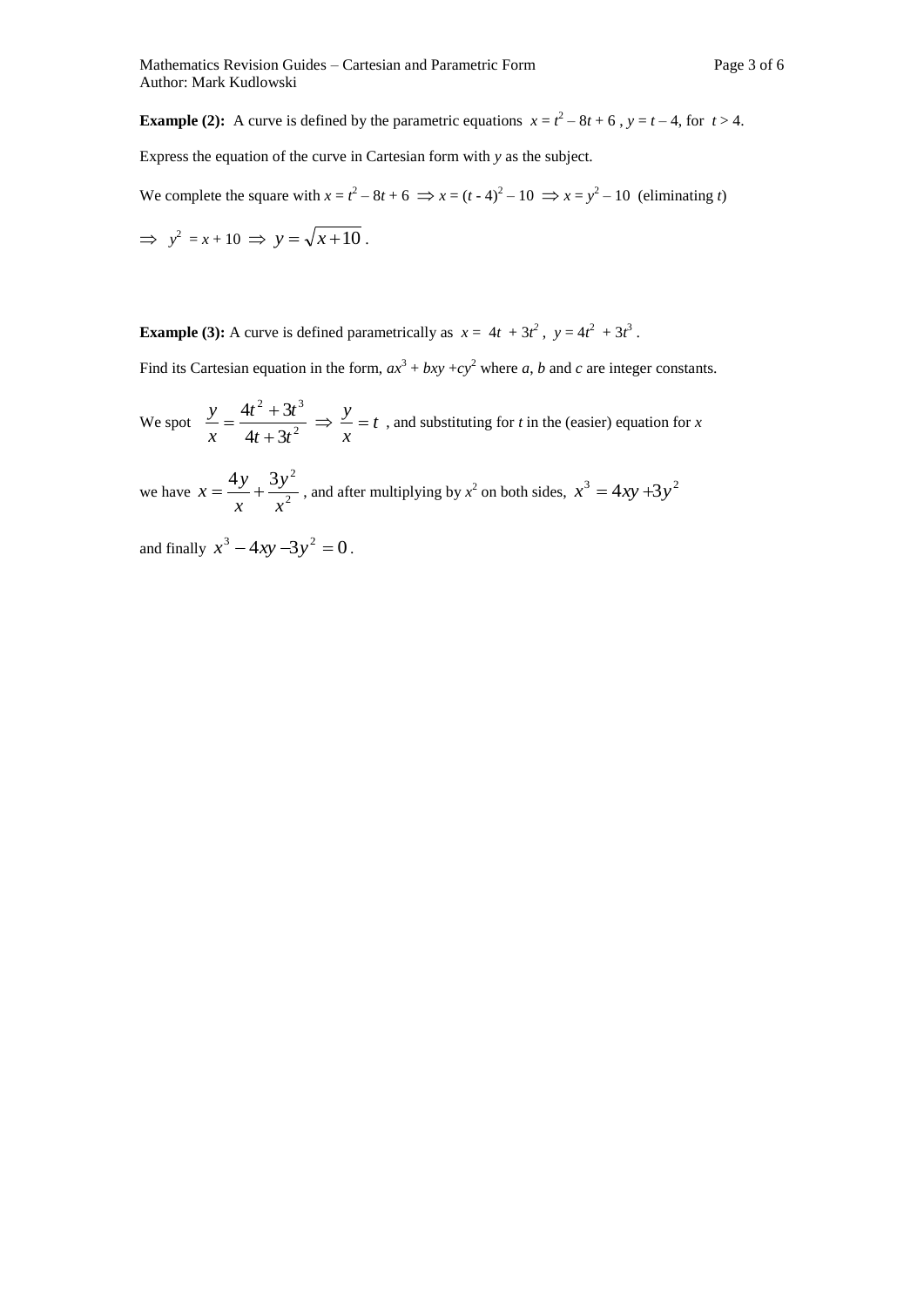**Example (2):** A curve is defined by the parametric equations  $x = t^2 - 8t + 6$ ,  $y = t - 4$ , for  $t > 4$ .

Express the equation of the curve in Cartesian form with *y* as the subject.

We complete the square with  $x = t^2 - 8t + 6 \implies x = (t - 4)^2 - 10 \implies x = y^2 - 10$  (eliminating *t*)

$$
\Rightarrow y^2 = x + 10 \Rightarrow y = \sqrt{x + 10} \, .
$$

**Example (3):** A curve is defined parametrically as  $x = 4t + 3t^2$ ,  $y = 4t^2 + 3t^3$ .

Find its Cartesian equation in the form,  $ax^3 + bxy + cy^2$  where *a*, *b* and *c* are integer constants.

We spot  $\frac{y}{x} = \frac{x+2t^2}{4t+2t^2}$ 2,  $2^{3}$  $4t + 3$  $4t^2 + 3$  $t + 3t$  $t^2 + 3t$ *x y*  $\overline{+}$  $=\frac{4t^2+3t^3}{t^2} \Rightarrow \frac{y}{t}=t$ *x*  $\frac{y}{x} = t$ , and substituting for *t* in the (easier) equation for *x* 

we have  $x = \frac{y}{x} + \frac{z}{x^2}$  $4y - 3y^2$ *x y x*  $x = \frac{4y}{3} + \frac{3y^2}{3}$ , and after multiplying by  $x^2$  on both sides,  $x^3 = 4xy + 3y^2$ 

and finally  $x^3 - 4xy - 3y^2 = 0$ .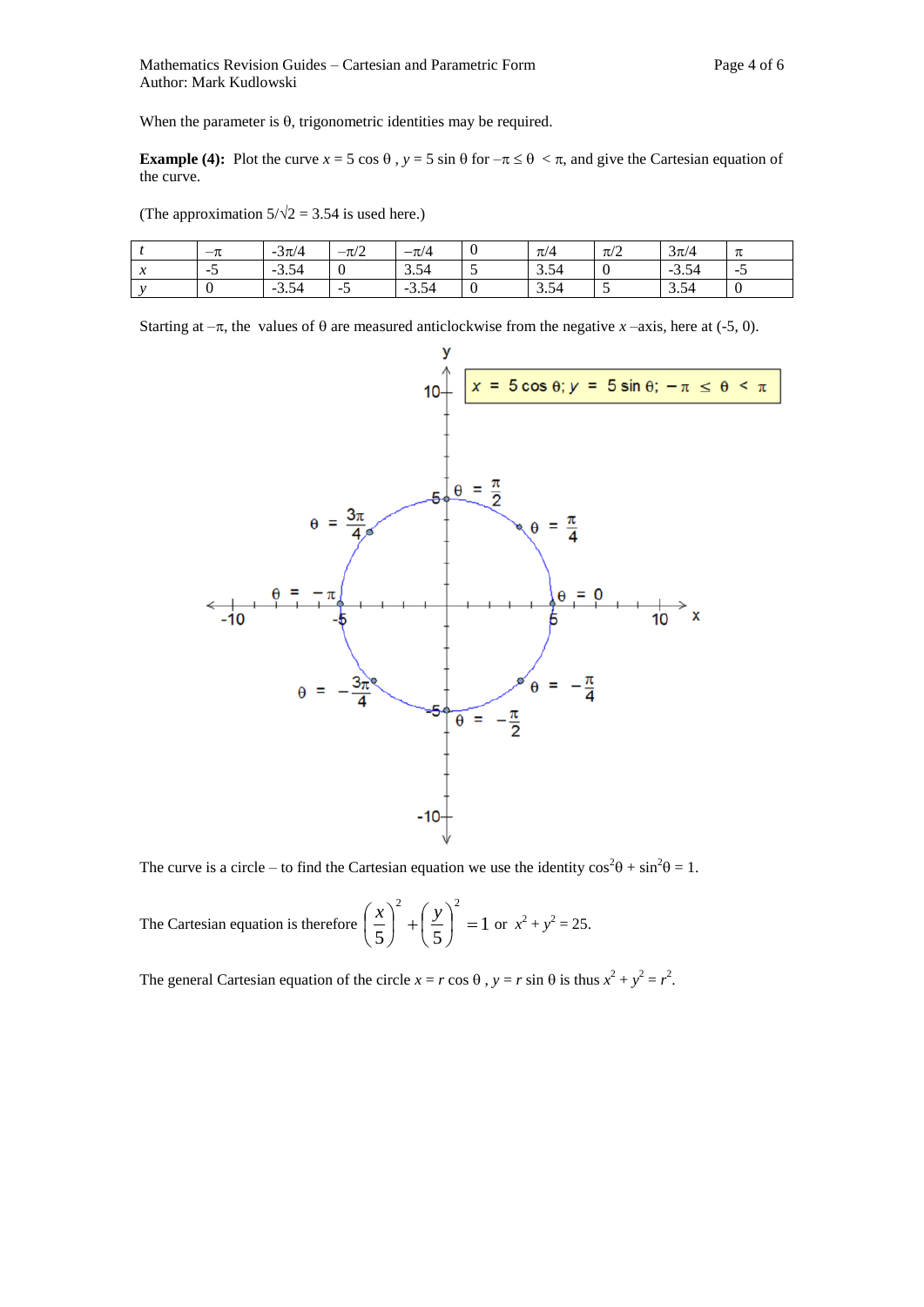**Example (4):** Plot the curve  $x = 5 \cos \theta$ ,  $y = 5 \sin \theta$  for  $-\pi \le \theta < \pi$ , and give the Cartesian equation of the curve.

(The approximation  $5/\sqrt{2} = 3.54$  is used here.)

|                   | $-\pi$ | $-3\pi/4$ | $-\pi/2$ | $-\pi/4$ | ν        | $\pi/4$ | $\pi/2$ | $3\pi/4$ | π      |
|-------------------|--------|-----------|----------|----------|----------|---------|---------|----------|--------|
| $-1$<br>$\lambda$ | $\sim$ | $-3.54$   |          | 3.54     | <b>س</b> | 3.54    |         | $-3.54$  | $\sim$ |
|                   |        | $-3.54$   | -7<br>້  | $-3.54$  | $\bf{0}$ | 3.54    |         | 3.54     |        |

Starting at  $-\pi$ , the values of  $\theta$  are measured anticlockwise from the negative *x* –axis, here at (-5, 0).



The curve is a circle – to find the Cartesian equation we use the identity  $\cos^2\theta + \sin^2\theta = 1$ .

The Cartesian equation is therefore  $\left|\frac{\lambda}{-}\right| + \left|\frac{y}{-}\right| = 1$ 5) (5 2  $\wedge$  2  $\vert$  = J  $\left(\frac{y}{z}\right)$  $\setminus$  $\Big|^{2} + \Big|$ J  $\left(\frac{x}{5}\right)$  $\setminus$  $\left(\frac{x}{2}\right)^2 + \left(\frac{y}{2}\right)^2 = 1$  or  $x^2 + y^2 = 25$ .

The general Cartesian equation of the circle  $x = r \cos \theta$ ,  $y = r \sin \theta$  is thus  $x^2 + y^2 = r^2$ .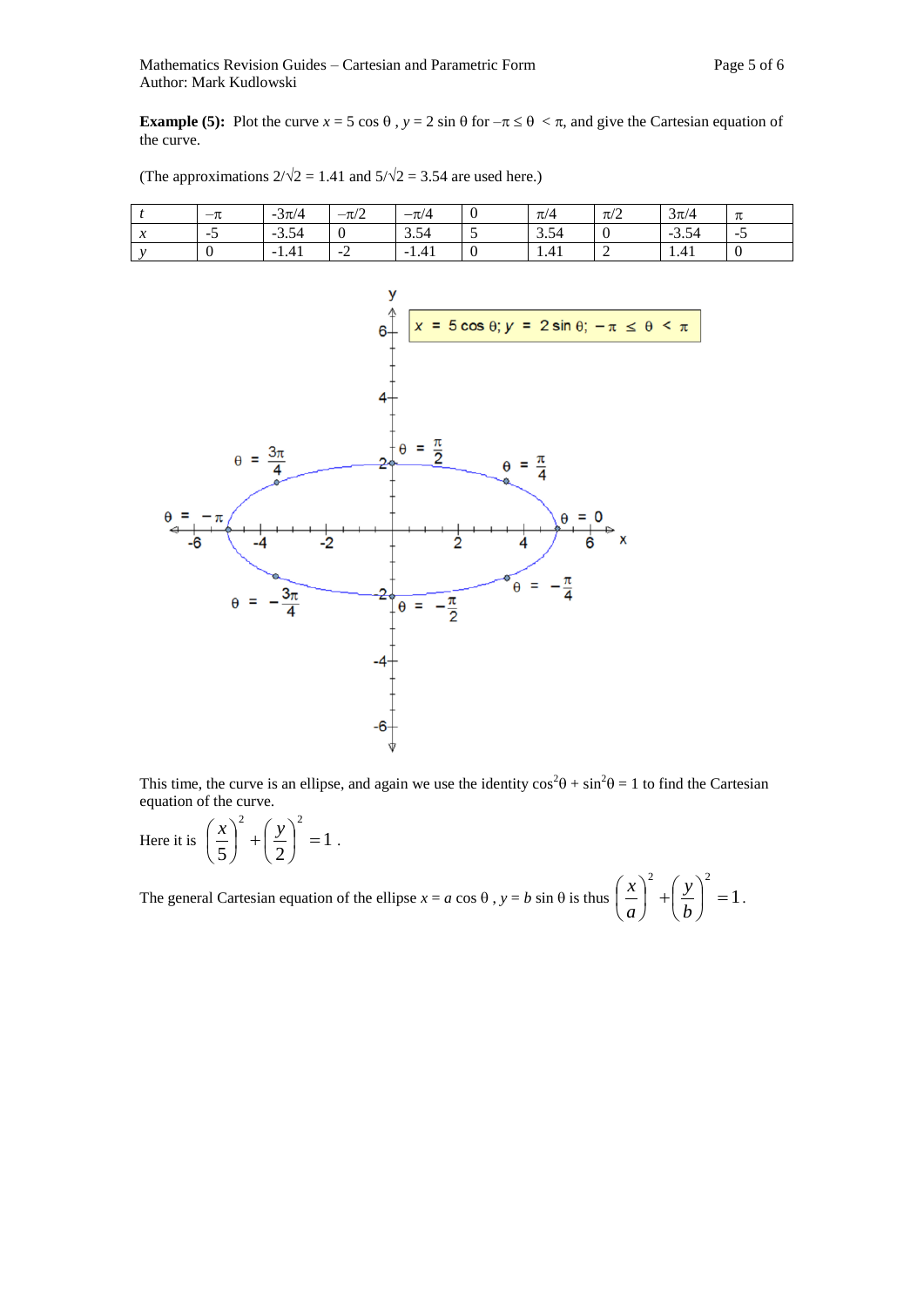**Example (5):** Plot the curve  $x = 5 \cos \theta$ ,  $y = 2 \sin \theta$  for  $-\pi \le \theta < \pi$ , and give the Cartesian equation of the curve.



(The approximations  $2/\sqrt{2} = 1.41$  and  $5/\sqrt{2} = 3.54$  are used here.)

This time, the curve is an ellipse, and again we use the identity  $\cos^2\theta + \sin^2\theta = 1$  to find the Cartesian equation of the curve.

Here it is 
$$
\left(\frac{x}{5}\right)^2 + \left(\frac{y}{2}\right)^2 = 1
$$
.

The general Cartesian equation of the ellipse  $x = a \cos \theta$ ,  $y = b \sin \theta$  is thus  $\begin{vmatrix} x \\ - \end{vmatrix} + \begin{vmatrix} y \\ - \end{vmatrix} = 1$ 2  $($   $\sqrt{2}$  $\vert$  =  $\bigg)$  $\left(\frac{y}{1}\right)$  $\setminus$  $\Bigg)^2 +$  $\bigg)$  $\left(\frac{x}{x}\right)$  $\overline{\mathcal{L}}$ ſ *b y a*  $\left(\frac{x}{x}\right)^2 + \left(\frac{y}{x}\right)^2 = 1$ .